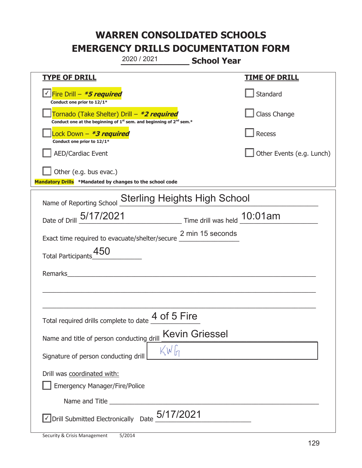|                                                                                    | 2020 / 2021                                                                   | <b>School Year</b>    |                           |
|------------------------------------------------------------------------------------|-------------------------------------------------------------------------------|-----------------------|---------------------------|
| <b>TYPE OF DRILL</b>                                                               |                                                                               |                       | <b>TIME OF DRILL</b>      |
| √Fire Drill – <b>*5 required</b><br>Conduct one prior to 12/1*                     |                                                                               |                       | Standard                  |
| Tornado (Take Shelter) Drill - *2 required                                         | Conduct one at the beginning of $1^{st}$ sem. and beginning of $2^{nd}$ sem.* |                       | Class Change              |
| Lock Down - <b>*3 required</b><br>Conduct one prior to 12/1*                       |                                                                               |                       | Recess                    |
| <b>AED/Cardiac Event</b>                                                           |                                                                               |                       | Other Events (e.g. Lunch) |
| Other (e.g. bus evac.)<br>Mandatory Drills *Mandated by changes to the school code |                                                                               |                       |                           |
|                                                                                    |                                                                               |                       |                           |
| Name of Reporting School Sterling Heights High School                              |                                                                               |                       |                           |
| Date of Drill 5/17/2021 Time drill was held 10:01am                                |                                                                               |                       |                           |
| Exact time required to evacuate/shelter/secure 2 min 15 seconds                    |                                                                               |                       |                           |
| Total Participants_450                                                             |                                                                               |                       |                           |
| Remarks                                                                            |                                                                               |                       |                           |
|                                                                                    |                                                                               |                       |                           |
|                                                                                    |                                                                               |                       |                           |
| Total required drills complete to date 4 of 5 Fire                                 |                                                                               |                       |                           |
| Name and title of person conducting drill                                          |                                                                               | <b>Kevin Griessel</b> |                           |
| Signature of person conducting drill                                               | KWH                                                                           |                       |                           |
| Drill was coordinated with:<br><b>Emergency Manager/Fire/Police</b>                |                                                                               |                       |                           |
|                                                                                    |                                                                               |                       |                           |
| $\sqrt{\ }$ Drill Submitted Electronically Date $\frac{5/17/2021}{2}$              |                                                                               |                       |                           |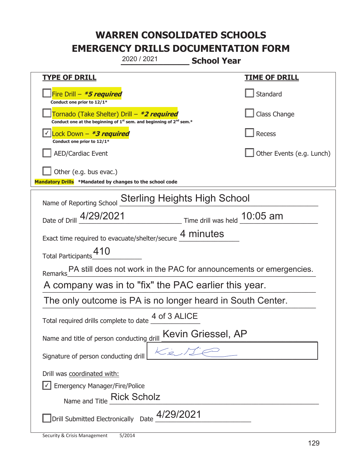|                                                                                    | 2020 / 2021                                                                                 | <b>School Year</b> |                           |
|------------------------------------------------------------------------------------|---------------------------------------------------------------------------------------------|--------------------|---------------------------|
| <u>TYPE OF DRILL</u>                                                               |                                                                                             |                    | <b>TIME OF DRILL</b>      |
| Fire Drill - *5 required<br>Conduct one prior to 12/1*                             |                                                                                             |                    | Standard                  |
| Tornado (Take Shelter) Drill – *2 required                                         | Conduct one at the beginning of 1 <sup>st</sup> sem. and beginning of 2 <sup>nd</sup> sem.* |                    | Class Change              |
| <u>√ Lock Down – <b>*3 required</b></u><br>Conduct one prior to 12/1*              |                                                                                             |                    | <b>Recess</b>             |
| <b>AED/Cardiac Event</b>                                                           |                                                                                             |                    | Other Events (e.g. Lunch) |
| Other (e.g. bus evac.)<br>Mandatory Drills *Mandated by changes to the school code |                                                                                             |                    |                           |
|                                                                                    |                                                                                             |                    |                           |
| Name of Reporting School                                                           | <b>Sterling Heights High School</b>                                                         |                    |                           |
| Date of Drill 4/29/2021                                                            | Time drill was held 10:05 am                                                                |                    |                           |
| Exact time required to evacuate/shelter/secure 4 minutes                           |                                                                                             |                    |                           |
| Total Participants_410                                                             |                                                                                             |                    |                           |
| Remarks PA still does not work in the PAC for announcements or emergencies.        |                                                                                             |                    |                           |
| A company was in to "fix" the PAC earlier this year.                               |                                                                                             |                    |                           |
| The only outcome is PA is no longer heard in South Center.                         |                                                                                             |                    |                           |
| Total required drills complete to date $\frac{4 \text{ of } 3 \text{ ALICE}}{}$    |                                                                                             |                    |                           |
| Name and title of person conducting drill                                          |                                                                                             | Kevin Griessel, AP |                           |
| Signature of person conducting drill                                               |                                                                                             |                    |                           |
| Drill was coordinated with:                                                        |                                                                                             |                    |                           |
| <b>Emergency Manager/Fire/Police</b>                                               |                                                                                             |                    |                           |
| Name and Title Rick Scholz                                                         |                                                                                             |                    |                           |
|                                                                                    | Drill Submitted Electronically Date $\_^{4/29/2021}$                                        |                    |                           |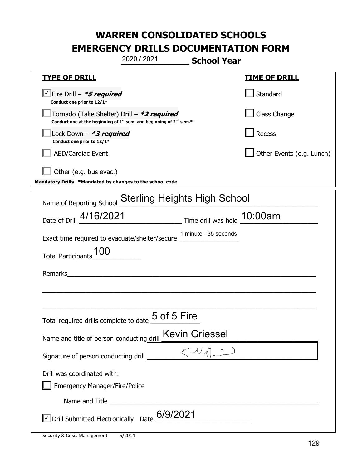|                                                                                            | 2020 / 2021                                                                                 | <b>School Year</b>    |                           |
|--------------------------------------------------------------------------------------------|---------------------------------------------------------------------------------------------|-----------------------|---------------------------|
| <u>TYPE OF DRILL</u>                                                                       |                                                                                             |                       | <u>TIME OF DRILL</u>      |
| $\vee$ Fire Drill – *5 required<br>Conduct one prior to 12/1*                              |                                                                                             |                       | Standard                  |
| Tornado (Take Shelter) Drill – *2 required                                                 | Conduct one at the beginning of 1 <sup>st</sup> sem. and beginning of 2 <sup>nd</sup> sem.* |                       | Class Change              |
| Lock Down - <b>*3 required</b><br>Conduct one prior to 12/1*                               |                                                                                             |                       | Recess                    |
| <b>AED/Cardiac Event</b>                                                                   |                                                                                             |                       | Other Events (e.g. Lunch) |
| Other (e.g. bus evac.)<br>Mandatory Drills *Mandated by changes to the school code         |                                                                                             |                       |                           |
| Name of Reporting School                                                                   | <b>Sterling Heights High School</b>                                                         |                       |                           |
| Date of Drill 4/16/2021 Time drill was held 10:00am                                        |                                                                                             |                       |                           |
| Exact time required to evacuate/shelter/secure 1 minute - 35 seconds                       |                                                                                             |                       |                           |
| Total Participants_100                                                                     |                                                                                             |                       |                           |
| Remarks                                                                                    | <u> 1980 - Andrea Andrew Maria (h. 1980).</u>                                               |                       |                           |
|                                                                                            |                                                                                             |                       |                           |
|                                                                                            |                                                                                             |                       |                           |
| Total required drills complete to date $\underline{\mathsf{5} \text{ of }}\mathsf{5}$ Fire |                                                                                             |                       |                           |
| Name and title of person conducting drill                                                  |                                                                                             | <b>Kevin Griessel</b> |                           |
| Signature of person conducting drill                                                       |                                                                                             |                       |                           |
| Drill was coordinated with:<br><b>Emergency Manager/Fire/Police</b>                        |                                                                                             |                       |                           |
|                                                                                            |                                                                                             |                       |                           |
| $\sqrt{}$ Drill Submitted Electronically Date $6/9/2021$                                   |                                                                                             |                       |                           |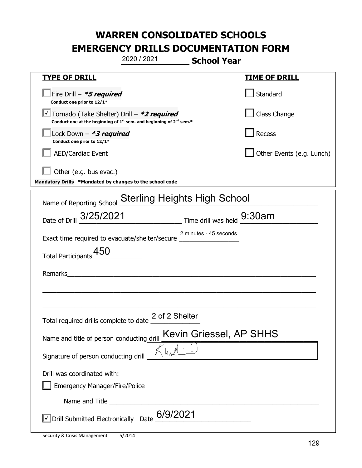|                                                                                    | 2020 / 2021                                                                                 | <b>School Year</b>      |                           |
|------------------------------------------------------------------------------------|---------------------------------------------------------------------------------------------|-------------------------|---------------------------|
| <u>TYPE OF DRILL</u>                                                               |                                                                                             |                         | <b>TIME OF DRILL</b>      |
| Fire Drill - *5 required<br>Conduct one prior to 12/1*                             |                                                                                             |                         | Standard                  |
| √Tornado (Take Shelter) Drill – <b>*2 required</b>                                 | Conduct one at the beginning of 1 <sup>st</sup> sem. and beginning of 2 <sup>nd</sup> sem.* |                         | Class Change              |
| Lock Down - <b>*3 required</b><br>Conduct one prior to 12/1*                       |                                                                                             |                         | Recess                    |
| <b>AED/Cardiac Event</b>                                                           |                                                                                             |                         | Other Events (e.g. Lunch) |
| Other (e.g. bus evac.)<br>Mandatory Drills *Mandated by changes to the school code |                                                                                             |                         |                           |
| Name of Reporting School                                                           | <b>Sterling Heights High School</b>                                                         |                         |                           |
| Date of Drill 3/25/2021                                                            | $\frac{1}{2}$ Time drill was held $\frac{9:30am}{2}$                                        |                         |                           |
| Exact time required to evacuate/shelter/secure $\frac{2}{10}$                      |                                                                                             | 2 minutes - 45 seconds  |                           |
| Total Participants_450                                                             |                                                                                             |                         |                           |
| Remarks                                                                            | <u> 1989 - Johann Stein, fransk politik (f. 1989)</u>                                       |                         |                           |
|                                                                                    |                                                                                             |                         |                           |
|                                                                                    |                                                                                             |                         |                           |
| Total required drills complete to date $\frac{2 \text{ of } 2 \text{ Shelter}}{2}$ |                                                                                             |                         |                           |
| Name and title of person conducting drill                                          |                                                                                             | Kevin Griessel, AP SHHS |                           |
| Signature of person conducting drill                                               | $\mathbb{I}_{\Lambda}$ $\mathbb{I}$                                                         |                         |                           |
| Drill was coordinated with:<br><b>Emergency Manager/Fire/Police</b>                |                                                                                             |                         |                           |
|                                                                                    |                                                                                             |                         |                           |
| $\sqrt{}$ Drill Submitted Electronically Date $6/9/2021$                           |                                                                                             |                         |                           |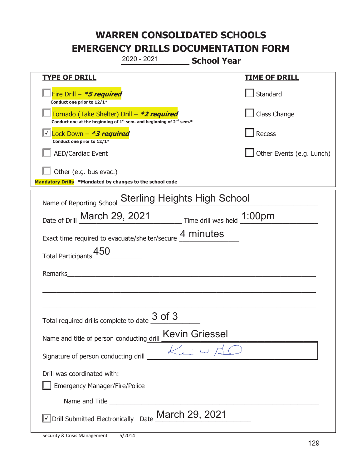|                                                                                    | 2020 - 2021                                                                                 | <b>School Year</b>         |                           |
|------------------------------------------------------------------------------------|---------------------------------------------------------------------------------------------|----------------------------|---------------------------|
| <b>TYPE OF DRILL</b>                                                               |                                                                                             |                            | <b>TIME OF DRILL</b>      |
| Fire Drill - *5 required<br>Conduct one prior to 12/1*                             |                                                                                             |                            | Standard                  |
| Tornado (Take Shelter) Drill – *2 required                                         | Conduct one at the beginning of 1 <sup>st</sup> sem. and beginning of 2 <sup>nd</sup> sem.* |                            | Class Change              |
| Lock Down - *3 required<br>Conduct one prior to 12/1*                              |                                                                                             |                            | Recess                    |
| <b>AED/Cardiac Event</b>                                                           |                                                                                             |                            | Other Events (e.g. Lunch) |
| Other (e.g. bus evac.)<br>Mandatory Drills *Mandated by changes to the school code |                                                                                             |                            |                           |
| Name of Reporting School                                                           | <b>Sterling Heights High School</b>                                                         |                            |                           |
| Date of Drill March 29, 2021 Time drill was held 1:00pm                            |                                                                                             |                            |                           |
| Exact time required to evacuate/shelter/secure 4 minutes                           |                                                                                             |                            |                           |
| Total Participants_450                                                             |                                                                                             |                            |                           |
| Remarks                                                                            |                                                                                             |                            |                           |
|                                                                                    |                                                                                             |                            |                           |
|                                                                                    |                                                                                             |                            |                           |
| Total required drills complete to date $\frac{3~\mathsf{of}~3}{\sqrt{3}}$          |                                                                                             |                            |                           |
| Name and title of person conducting drill                                          |                                                                                             | <b>Kevin Griessel</b>      |                           |
| Signature of person conducting drill                                               |                                                                                             | $K_{\epsilon}$ : W $\Xi$ ( |                           |
| Drill was coordinated with:<br><b>Emergency Manager/Fire/Police</b>                |                                                                                             |                            |                           |
|                                                                                    |                                                                                             |                            |                           |
| √Drill Submitted Electronically Date March 29, 2021                                |                                                                                             |                            |                           |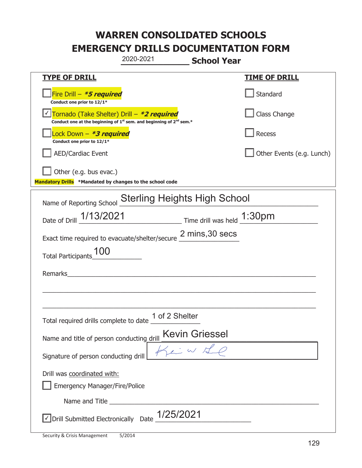|                                                                                    | 2020-2021<br><b>School Year</b>                                                             |                           |
|------------------------------------------------------------------------------------|---------------------------------------------------------------------------------------------|---------------------------|
| <b>TYPE OF DRILL</b>                                                               |                                                                                             | <b>TIME OF DRILL</b>      |
| Fire Drill - *5 required<br>Conduct one prior to 12/1*                             |                                                                                             | Standard                  |
| Tornado (Take Shelter) Drill – *2 required                                         | Conduct one at the beginning of 1 <sup>st</sup> sem. and beginning of 2 <sup>nd</sup> sem.* | Class Change              |
| Lock Down - *3 required<br>Conduct one prior to 12/1*                              |                                                                                             | Recess                    |
| <b>AED/Cardiac Event</b>                                                           |                                                                                             | Other Events (e.g. Lunch) |
| Other (e.g. bus evac.)<br>Mandatory Drills *Mandated by changes to the school code |                                                                                             |                           |
| Name of Reporting School                                                           | <b>Sterling Heights High School</b>                                                         |                           |
| Date of Drill 1/13/2021                                                            | $\frac{1:30 \text{pm}}{2}$ Time drill was held $\frac{1:30 \text{pm}}{2}$                   |                           |
|                                                                                    | Exact time required to evacuate/shelter/secure 2 mins, 30 secs                              |                           |
| <b>Total Participants</b>                                                          |                                                                                             |                           |
| Remarks                                                                            |                                                                                             |                           |
|                                                                                    |                                                                                             |                           |
|                                                                                    | Total required drills complete to date $\frac{1 \text{ of } 2 \text{ Shelter}}{2}$          |                           |
| Name and title of person conducting drill                                          | <b>Kevin Griessel</b>                                                                       |                           |
| Signature of person conducting drill                                               | $\frac{1}{2}$ $\frac{1}{2}$ $\omega$                                                        |                           |
| Drill was coordinated with:<br><b>Emergency Manager/Fire/Police</b>                |                                                                                             |                           |
|                                                                                    |                                                                                             |                           |
|                                                                                    | $\triangledown$ Drill Submitted Electronically Date $\_1/25/2021$                           |                           |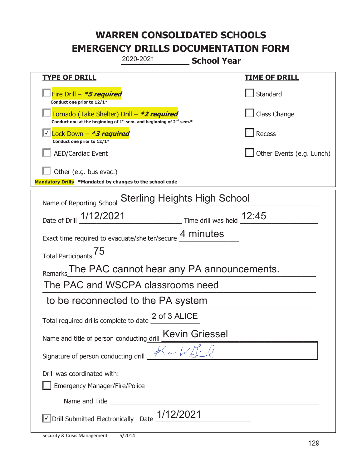|                                                                                    | 2020-2021<br><b>School Year</b>                                                             |                                     |
|------------------------------------------------------------------------------------|---------------------------------------------------------------------------------------------|-------------------------------------|
| <b>TYPE OF DRILL</b>                                                               |                                                                                             | <b>TIME OF DRILL</b>                |
| Fire Drill - *5 required<br>Conduct one prior to 12/1*                             |                                                                                             | Standard                            |
| Tornado (Take Shelter) Drill – *2 required                                         | Conduct one at the beginning of 1 <sup>st</sup> sem. and beginning of 2 <sup>nd</sup> sem.* | Class Change                        |
| Lock Down $-$ *3 required<br>Conduct one prior to 12/1*                            |                                                                                             | Recess                              |
| <b>AED/Cardiac Event</b>                                                           |                                                                                             | Other Events (e.g. Lunch)           |
| Other (e.g. bus evac.)<br>Mandatory Drills *Mandated by changes to the school code |                                                                                             |                                     |
| Name of Reporting School                                                           | <b>Sterling Heights High School</b>                                                         |                                     |
| Date of Drill 1/12/2021                                                            |                                                                                             | $\_$ Time drill was held $\_$ 12:45 |
|                                                                                    | Exact time required to evacuate/shelter/secure 4 minutes                                    |                                     |
| Total Participants <sup>75</sup>                                                   |                                                                                             |                                     |
|                                                                                    | Remarks The PAC cannot hear any PA announcements.                                           |                                     |
|                                                                                    | The PAC and WSCPA classrooms need                                                           |                                     |
|                                                                                    | to be reconnected to the PA system                                                          |                                     |
| Total required drills complete to date _                                           | 2 of 3 ALICE                                                                                |                                     |
| Name and title of person conducting drill                                          | <u>rill Kevin Griessel</u><br>Ker W. L. Q                                                   |                                     |
| Signature of person conducting drill                                               |                                                                                             |                                     |
| Drill was coordinated with:<br><b>Emergency Manager/Fire/Police</b>                |                                                                                             |                                     |
|                                                                                    |                                                                                             |                                     |
|                                                                                    | $\Box$ Drill Submitted Electronically Date $\_$ 1/12/2021                                   |                                     |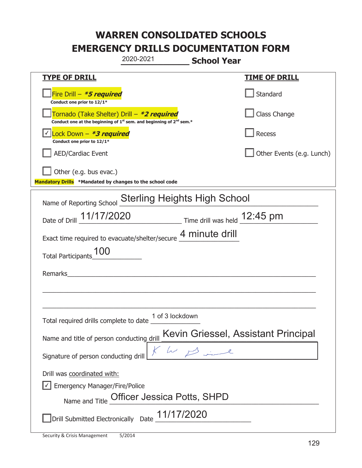|                                                                                    | 2020-2021                                                                     | <b>School Year</b>                  |
|------------------------------------------------------------------------------------|-------------------------------------------------------------------------------|-------------------------------------|
| <u>TYPE OF DRILL</u>                                                               |                                                                               | <u>TIME OF DRILL</u>                |
| Fire Drill - *5 required<br>Conduct one prior to 12/1*                             |                                                                               | Standard                            |
| Tornado (Take Shelter) Drill – *2 required                                         | Conduct one at the beginning of $1^{st}$ sem. and beginning of $2^{nd}$ sem.* | Class Change                        |
| Lock Down $-$ *3 required<br>Conduct one prior to 12/1*                            |                                                                               | Recess                              |
| <b>AED/Cardiac Event</b>                                                           |                                                                               | Other Events (e.g. Lunch)           |
| Other (e.g. bus evac.)<br>Mandatory Drills *Mandated by changes to the school code |                                                                               |                                     |
|                                                                                    | <b>Sterling Heights High School</b>                                           |                                     |
| Name of Reporting School                                                           | Date of Drill 11/17/2020 Time drill was held 12:45 pm                         |                                     |
|                                                                                    | Exact time required to evacuate/shelter/secure 4 minute drill                 |                                     |
| <b>Total Participants</b>                                                          |                                                                               |                                     |
| Remarks                                                                            |                                                                               |                                     |
|                                                                                    |                                                                               |                                     |
| Total required drills complete to date                                             | 1 of 3 lockdown                                                               |                                     |
| Name and title of person conducting drill                                          |                                                                               | Kevin Griessel, Assistant Principal |
| Signature of person conducting drill                                               | he since                                                                      |                                     |
| Drill was coordinated with:<br>Emergency Manager/Fire/Police                       | Name and Title Officer Jessica Potts, SHPD                                    |                                     |
|                                                                                    | Drill Submitted Electronically Date 11/17/2020                                |                                     |

I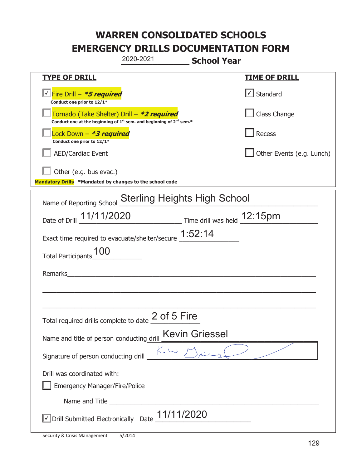|                                                                                    | 2020-2021<br><b>School Year</b>                                         |                           |
|------------------------------------------------------------------------------------|-------------------------------------------------------------------------|---------------------------|
| <b>TYPE OF DRILL</b>                                                               |                                                                         | <b>TIME OF DRILL</b>      |
| Conduct one prior to 12/1*                                                         |                                                                         | $\cup$ Standard           |
| Tornado (Take Shelter) Drill – *2 required                                         | Conduct one at the beginning of $1st$ sem. and beginning of $2nd$ sem.* | Class Change              |
| Lock Down - *3 required<br>Conduct one prior to 12/1*                              |                                                                         | Recess                    |
| <b>AED/Cardiac Event</b>                                                           |                                                                         | Other Events (e.g. Lunch) |
| Other (e.g. bus evac.)<br>Mandatory Drills *Mandated by changes to the school code |                                                                         |                           |
| Name of Reporting School                                                           | <b>Sterling Heights High School</b>                                     |                           |
|                                                                                    | Date of Drill 11/11/2020 Time drill was held 12:15pm                    |                           |
|                                                                                    | Exact time required to evacuate/shelter/secure 1:52:14                  |                           |
| 100<br><b>Total Participants</b>                                                   |                                                                         |                           |
| Remarks                                                                            |                                                                         |                           |
|                                                                                    |                                                                         |                           |
|                                                                                    | 2 of 5 Fire                                                             |                           |
| Total required drills complete to date                                             |                                                                         |                           |
| Name and title of person conducting drill                                          | <b>Kevin Griessel</b>                                                   |                           |
| Signature of person conducting drill                                               |                                                                         |                           |
| Drill was coordinated with:                                                        |                                                                         |                           |
| <b>Emergency Manager/Fire/Police</b>                                               |                                                                         |                           |
|                                                                                    |                                                                         |                           |
| √ Drill Submitted Electronically Date                                              | 11/11/2020                                                              |                           |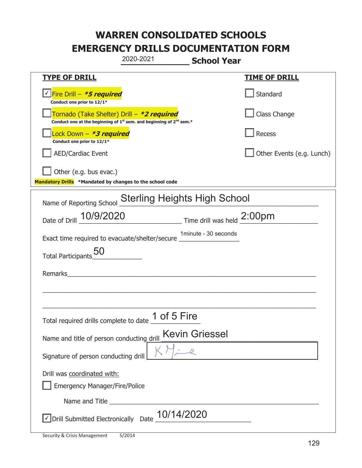|                                                                                            | 2020-2021                                                                     | <b>School Year</b>   |                           |
|--------------------------------------------------------------------------------------------|-------------------------------------------------------------------------------|----------------------|---------------------------|
| <u>TYPE OF DRILL</u>                                                                       |                                                                               |                      | <u>TIME OF DRILL</u>      |
| <u>√ <mark>Fire Drill – <i>*<b>5 required</b></i></mark></u><br>Conduct one prior to 12/1* |                                                                               |                      | Standard                  |
| Tornado (Take Shelter) Drill – *2 required                                                 | Conduct one at the beginning of $1^{st}$ sem. and beginning of $2^{nd}$ sem.* |                      | Class Change              |
| Lock Down – <b>*<i>3 required</i></b><br>Conduct one prior to 12/1*                        |                                                                               |                      | Recess                    |
| <b>AED/Cardiac Event</b>                                                                   |                                                                               |                      | Other Events (e.g. Lunch) |
| Other (e.g. bus evac.)<br>Mandatory Drills *Mandated by changes to the school code         |                                                                               |                      |                           |
| Name of Reporting School                                                                   | <b>Sterling Heights High School</b>                                           |                      |                           |
| Date of Drill 10/9/2020                                                                    |                                                                               |                      |                           |
| Exact time required to evacuate/shelter/secure __________________________________          |                                                                               | 1minute - 30 seconds |                           |
| Total Participants_50                                                                      |                                                                               |                      |                           |
| Remarks                                                                                    |                                                                               |                      |                           |
|                                                                                            |                                                                               |                      |                           |
| Total required drills complete to date                                                     | 1 of 5 Fire                                                                   |                      |                           |
| Name and title of person conducting drill                                                  | <b>Kevin Griessel</b>                                                         |                      |                           |
| Signature of person conducting drill                                                       |                                                                               |                      |                           |
| Drill was coordinated with:<br><b>Emergency Manager/Fire/Police</b>                        |                                                                               |                      |                           |
|                                                                                            |                                                                               |                      |                           |
| $\sqrt{}$ Drill Submitted Electronically Date                                              | 10/14/2020                                                                    |                      |                           |

t